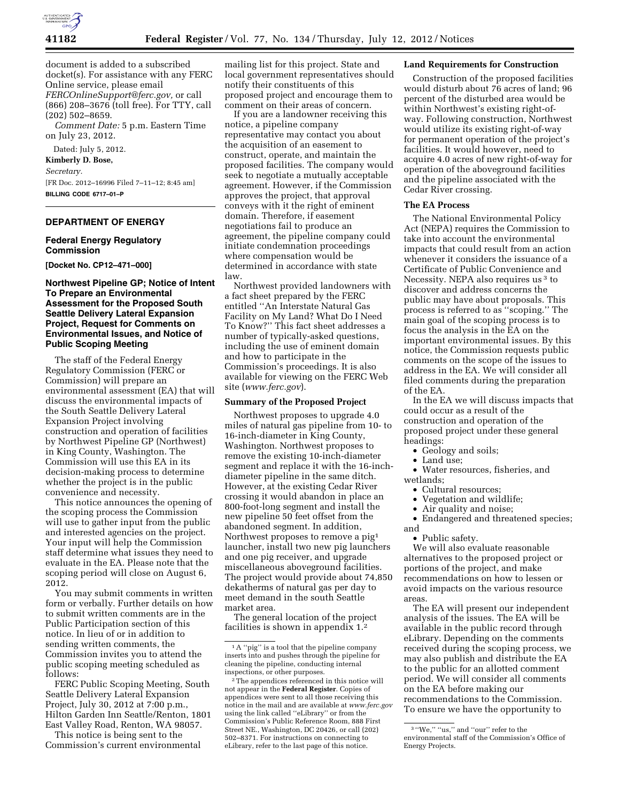

document is added to a subscribed docket(s). For assistance with any FERC Online service, please email *[FERCOnlineSupport@ferc.gov,](mailto:FERCOnlineSupport@ferc.gov)* or call (866) 208–3676 (toll free). For TTY, call (202) 502–8659.

*Comment Date:* 5 p.m. Eastern Time on July 23, 2012.

Dated: July 5, 2012.

**Kimberly D. Bose,** 

*Secretary.* 

[FR Doc. 2012–16996 Filed 7–11–12; 8:45 am] **BILLING CODE 6717–01–P** 

## **DEPARTMENT OF ENERGY**

### **Federal Energy Regulatory Commission**

**[Docket No. CP12–471–000]** 

### **Northwest Pipeline GP; Notice of Intent To Prepare an Environmental Assessment for the Proposed South Seattle Delivery Lateral Expansion Project, Request for Comments on Environmental Issues, and Notice of Public Scoping Meeting**

The staff of the Federal Energy Regulatory Commission (FERC or Commission) will prepare an environmental assessment (EA) that will discuss the environmental impacts of the South Seattle Delivery Lateral Expansion Project involving construction and operation of facilities by Northwest Pipeline GP (Northwest) in King County, Washington. The Commission will use this EA in its decision-making process to determine whether the project is in the public convenience and necessity.

This notice announces the opening of the scoping process the Commission will use to gather input from the public and interested agencies on the project. Your input will help the Commission staff determine what issues they need to evaluate in the EA. Please note that the scoping period will close on August 6, 2012.

You may submit comments in written form or verbally. Further details on how to submit written comments are in the Public Participation section of this notice. In lieu of or in addition to sending written comments, the Commission invites you to attend the public scoping meeting scheduled as follows:

FERC Public Scoping Meeting, South Seattle Delivery Lateral Expansion Project, July 30, 2012 at 7:00 p.m., Hilton Garden Inn Seattle/Renton, 1801 East Valley Road, Renton, WA 98057.

This notice is being sent to the Commission's current environmental

mailing list for this project. State and local government representatives should notify their constituents of this proposed project and encourage them to comment on their areas of concern.

If you are a landowner receiving this notice, a pipeline company representative may contact you about the acquisition of an easement to construct, operate, and maintain the proposed facilities. The company would seek to negotiate a mutually acceptable agreement. However, if the Commission approves the project, that approval conveys with it the right of eminent domain. Therefore, if easement negotiations fail to produce an agreement, the pipeline company could initiate condemnation proceedings where compensation would be determined in accordance with state law.

Northwest provided landowners with a fact sheet prepared by the FERC entitled ''An Interstate Natural Gas Facility on My Land? What Do I Need To Know?'' This fact sheet addresses a number of typically-asked questions, including the use of eminent domain and how to participate in the Commission's proceedings. It is also available for viewing on the FERC Web site (*[www.ferc.gov](http://www.ferc.gov)*).

#### **Summary of the Proposed Project**

Northwest proposes to upgrade 4.0 miles of natural gas pipeline from 10- to 16-inch-diameter in King County, Washington. Northwest proposes to remove the existing 10-inch-diameter segment and replace it with the 16-inchdiameter pipeline in the same ditch. However, at the existing Cedar River crossing it would abandon in place an 800-foot-long segment and install the new pipeline 50 feet offset from the abandoned segment. In addition, Northwest proposes to remove a pig1 launcher, install two new pig launchers and one pig receiver, and upgrade miscellaneous aboveground facilities. The project would provide about 74,850 dekatherms of natural gas per day to meet demand in the south Seattle market area.

The general location of the project facilities is shown in appendix 1.2

#### **Land Requirements for Construction**

Construction of the proposed facilities would disturb about 76 acres of land; 96 percent of the disturbed area would be within Northwest's existing right-ofway. Following construction, Northwest would utilize its existing right-of-way for permanent operation of the project's facilities. It would however, need to acquire 4.0 acres of new right-of-way for operation of the aboveground facilities and the pipeline associated with the Cedar River crossing.

#### **The EA Process**

The National Environmental Policy Act (NEPA) requires the Commission to take into account the environmental impacts that could result from an action whenever it considers the issuance of a Certificate of Public Convenience and Necessity. NEPA also requires us 3 to discover and address concerns the public may have about proposals. This process is referred to as ''scoping.'' The main goal of the scoping process is to focus the analysis in the EA on the important environmental issues. By this notice, the Commission requests public comments on the scope of the issues to address in the EA. We will consider all filed comments during the preparation of the EA.

In the EA we will discuss impacts that could occur as a result of the construction and operation of the proposed project under these general headings:

- Geology and soils;
- Land use:

• Water resources, fisheries, and wetlands;

- Cultural resources;
- Vegetation and wildlife;
- Air quality and noise;

• Endangered and threatened species; and

• Public safety.

We will also evaluate reasonable alternatives to the proposed project or portions of the project, and make recommendations on how to lessen or avoid impacts on the various resource areas.

The EA will present our independent analysis of the issues. The EA will be available in the public record through eLibrary. Depending on the comments received during the scoping process, we may also publish and distribute the EA to the public for an allotted comment period. We will consider all comments on the EA before making our recommendations to the Commission. To ensure we have the opportunity to

<sup>&</sup>lt;sup>1</sup>A "pig" is a tool that the pipeline company inserts into and pushes through the pipeline for cleaning the pipeline, conducting internal inspections, or other purposes.

<sup>2</sup>The appendices referenced in this notice will not appear in the **Federal Register**. Copies of appendices were sent to all those receiving this notice in the mail and are available at *[www.ferc.gov](http://www.ferc.gov)*  using the link called ''eLibrary'' or from the Commission's Public Reference Room, 888 First Street NE., Washington, DC 20426, or call (202) 502–8371. For instructions on connecting to eLibrary, refer to the last page of this notice.

 $^3$  "We," "us," and "our" refer to the environmental staff of the Commission's Office of Energy Projects.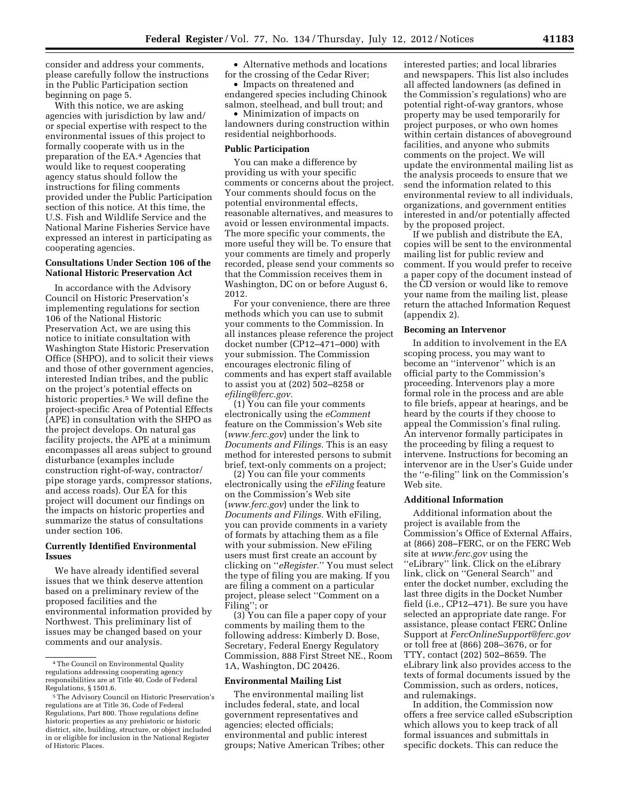consider and address your comments, please carefully follow the instructions in the Public Participation section beginning on page 5.

With this notice, we are asking agencies with jurisdiction by law and/ or special expertise with respect to the environmental issues of this project to formally cooperate with us in the preparation of the EA.4 Agencies that would like to request cooperating agency status should follow the instructions for filing comments provided under the Public Participation section of this notice. At this time, the U.S. Fish and Wildlife Service and the National Marine Fisheries Service have expressed an interest in participating as cooperating agencies.

### **Consultations Under Section 106 of the National Historic Preservation Act**

In accordance with the Advisory Council on Historic Preservation's implementing regulations for section 106 of the National Historic Preservation Act, we are using this notice to initiate consultation with Washington State Historic Preservation Office (SHPO), and to solicit their views and those of other government agencies, interested Indian tribes, and the public on the project's potential effects on historic properties.5 We will define the project-specific Area of Potential Effects (APE) in consultation with the SHPO as the project develops. On natural gas facility projects, the APE at a minimum encompasses all areas subject to ground disturbance (examples include construction right-of-way, contractor/ pipe storage yards, compressor stations, and access roads). Our EA for this project will document our findings on the impacts on historic properties and summarize the status of consultations under section 106.

# **Currently Identified Environmental Issues**

We have already identified several issues that we think deserve attention based on a preliminary review of the proposed facilities and the environmental information provided by Northwest. This preliminary list of issues may be changed based on your comments and our analysis.

• Alternative methods and locations for the crossing of the Cedar River;

• Impacts on threatened and endangered species including Chinook salmon, steelhead, and bull trout; and

• Minimization of impacts on landowners during construction within residential neighborhoods.

#### **Public Participation**

You can make a difference by providing us with your specific comments or concerns about the project. Your comments should focus on the potential environmental effects, reasonable alternatives, and measures to avoid or lessen environmental impacts. The more specific your comments, the more useful they will be. To ensure that your comments are timely and properly recorded, please send your comments so that the Commission receives them in Washington, DC on or before August 6, 2012.

For your convenience, there are three methods which you can use to submit your comments to the Commission. In all instances please reference the project docket number (CP12–471–000) with your submission. The Commission encourages electronic filing of comments and has expert staff available to assist you at (202) 502–8258 or *[efiling@ferc.gov.](mailto:efiling@ferc.gov)* 

(1) You can file your comments electronically using the *eComment*  feature on the Commission's Web site (*[www.ferc.gov](http://www.ferc.gov)*) under the link to *Documents and Filings.* This is an easy method for interested persons to submit brief, text-only comments on a project;

(2) You can file your comments electronically using the *eFiling* feature on the Commission's Web site (*[www.ferc.gov](http://www.ferc.gov)*) under the link to *Documents and Filings.* With eFiling, you can provide comments in a variety of formats by attaching them as a file with your submission. New eFiling users must first create an account by clicking on ''*eRegister.*'' You must select the type of filing you are making. If you are filing a comment on a particular project, please select ''Comment on a Filing''; or

(3) You can file a paper copy of your comments by mailing them to the following address: Kimberly D. Bose, Secretary, Federal Energy Regulatory Commission, 888 First Street NE., Room 1A, Washington, DC 20426.

#### **Environmental Mailing List**

The environmental mailing list includes federal, state, and local government representatives and agencies; elected officials; environmental and public interest groups; Native American Tribes; other interested parties; and local libraries and newspapers. This list also includes all affected landowners (as defined in the Commission's regulations) who are potential right-of-way grantors, whose property may be used temporarily for project purposes, or who own homes within certain distances of aboveground facilities, and anyone who submits comments on the project. We will update the environmental mailing list as the analysis proceeds to ensure that we send the information related to this environmental review to all individuals, organizations, and government entities interested in and/or potentially affected by the proposed project.

If we publish and distribute the EA, copies will be sent to the environmental mailing list for public review and comment. If you would prefer to receive a paper copy of the document instead of the CD version or would like to remove your name from the mailing list, please return the attached Information Request (appendix 2).

# **Becoming an Intervenor**

In addition to involvement in the EA scoping process, you may want to become an ''intervenor'' which is an official party to the Commission's proceeding. Intervenors play a more formal role in the process and are able to file briefs, appear at hearings, and be heard by the courts if they choose to appeal the Commission's final ruling. An intervenor formally participates in the proceeding by filing a request to intervene. Instructions for becoming an intervenor are in the User's Guide under the ''e-filing'' link on the Commission's Web site.

### **Additional Information**

Additional information about the project is available from the Commission's Office of External Affairs, at (866) 208–FERC, or on the FERC Web site at *[www.ferc.gov](http://www.ferc.gov)* using the ''eLibrary'' link. Click on the eLibrary link, click on ''General Search'' and enter the docket number, excluding the last three digits in the Docket Number field (i.e., CP12–471). Be sure you have selected an appropriate date range. For assistance, please contact FERC Online Support at *[FercOnlineSupport@ferc.gov](mailto:FercOnlineSupport@ferc.gov)*  or toll free at (866) 208–3676, or for TTY, contact (202) 502–8659. The eLibrary link also provides access to the texts of formal documents issued by the Commission, such as orders, notices, and rulemakings.

In addition, the Commission now offers a free service called eSubscription which allows you to keep track of all formal issuances and submittals in specific dockets. This can reduce the

<sup>4</sup>The Council on Environmental Quality regulations addressing cooperating agency responsibilities are at Title 40, Code of Federal Regulations, § 1501.6.

<sup>5</sup>The Advisory Council on Historic Preservation's regulations are at Title 36, Code of Federal Regulations, Part 800. Those regulations define historic properties as any prehistoric or historic district, site, building, structure, or object included in or eligible for inclusion in the National Register of Historic Places.